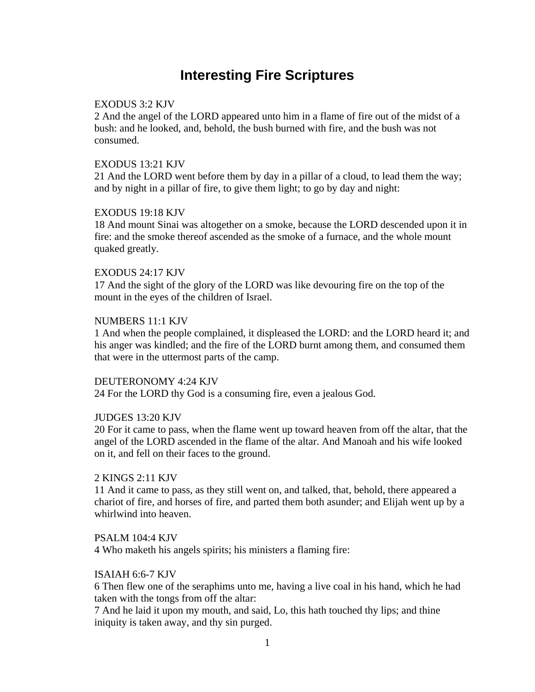# **Interesting Fire Scriptures**

# EXODUS 3:2 KJV

2 And the angel of the LORD appeared unto him in a flame of fire out of the midst of a bush: and he looked, and, behold, the bush burned with fire, and the bush was not consumed.

# EXODUS 13:21 KJV

21 And the LORD went before them by day in a pillar of a cloud, to lead them the way; and by night in a pillar of fire, to give them light; to go by day and night:

# EXODUS 19:18 KJV

18 And mount Sinai was altogether on a smoke, because the LORD descended upon it in fire: and the smoke thereof ascended as the smoke of a furnace, and the whole mount quaked greatly.

# EXODUS 24:17 KJV

17 And the sight of the glory of the LORD was like devouring fire on the top of the mount in the eyes of the children of Israel.

# NUMBERS 11:1 KJV

1 And when the people complained, it displeased the LORD: and the LORD heard it; and his anger was kindled; and the fire of the LORD burnt among them, and consumed them that were in the uttermost parts of the camp.

# DEUTERONOMY 4:24 KJV

24 For the LORD thy God is a consuming fire, even a jealous God.

# JUDGES 13:20 KJV

20 For it came to pass, when the flame went up toward heaven from off the altar, that the angel of the LORD ascended in the flame of the altar. And Manoah and his wife looked on it, and fell on their faces to the ground.

# 2 KINGS 2:11 KJV

11 And it came to pass, as they still went on, and talked, that, behold, there appeared a chariot of fire, and horses of fire, and parted them both asunder; and Elijah went up by a whirlwind into heaven.

# PSALM 104:4 KJV

4 Who maketh his angels spirits; his ministers a flaming fire:

# ISAIAH 6:6-7 KJV

6 Then flew one of the seraphims unto me, having a live coal in his hand, which he had taken with the tongs from off the altar:

7 And he laid it upon my mouth, and said, Lo, this hath touched thy lips; and thine iniquity is taken away, and thy sin purged.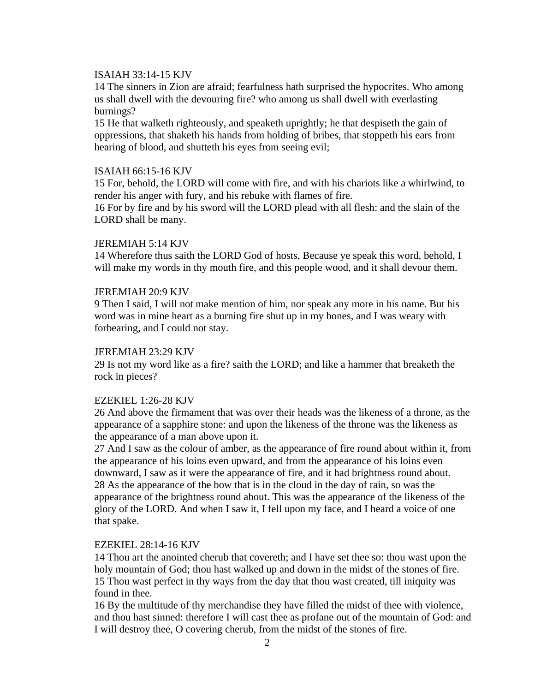### ISAIAH 33:14-15 KJV

14 The sinners in Zion are afraid; fearfulness hath surprised the hypocrites. Who among us shall dwell with the devouring fire? who among us shall dwell with everlasting burnings?

15 He that walketh righteously, and speaketh uprightly; he that despiseth the gain of oppressions, that shaketh his hands from holding of bribes, that stoppeth his ears from hearing of blood, and shutteth his eyes from seeing evil;

### ISAIAH 66:15-16 KJV

15 For, behold, the LORD will come with fire, and with his chariots like a whirlwind, to render his anger with fury, and his rebuke with flames of fire.

16 For by fire and by his sword will the LORD plead with all flesh: and the slain of the LORD shall be many.

### JEREMIAH 5:14 KJV

14 Wherefore thus saith the LORD God of hosts, Because ye speak this word, behold, I will make my words in thy mouth fire, and this people wood, and it shall devour them.

#### JEREMIAH 20:9 KJV

9 Then I said, I will not make mention of him, nor speak any more in his name. But his word was in mine heart as a burning fire shut up in my bones, and I was weary with forbearing, and I could not stay.

# JEREMIAH 23:29 KJV

29 Is not my word like as a fire? saith the LORD; and like a hammer that breaketh the rock in pieces?

#### EZEKIEL 1:26-28 KJV

26 And above the firmament that was over their heads was the likeness of a throne, as the appearance of a sapphire stone: and upon the likeness of the throne was the likeness as the appearance of a man above upon it.

27 And I saw as the colour of amber, as the appearance of fire round about within it, from the appearance of his loins even upward, and from the appearance of his loins even downward, I saw as it were the appearance of fire, and it had brightness round about. 28 As the appearance of the bow that is in the cloud in the day of rain, so was the appearance of the brightness round about. This was the appearance of the likeness of the glory of the LORD. And when I saw it, I fell upon my face, and I heard a voice of one that spake.

#### EZEKIEL 28:14-16 KJV

14 Thou art the anointed cherub that covereth; and I have set thee so: thou wast upon the holy mountain of God; thou hast walked up and down in the midst of the stones of fire. 15 Thou wast perfect in thy ways from the day that thou wast created, till iniquity was found in thee.

16 By the multitude of thy merchandise they have filled the midst of thee with violence, and thou hast sinned: therefore I will cast thee as profane out of the mountain of God: and I will destroy thee, O covering cherub, from the midst of the stones of fire.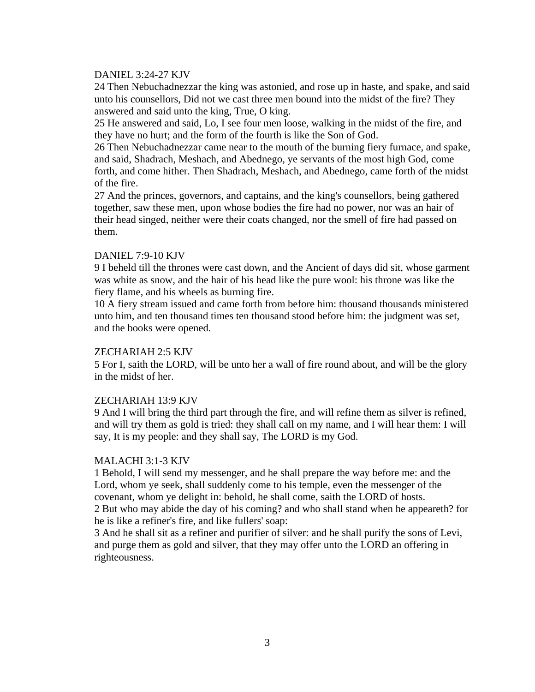# DANIEL 3:24-27 KJV

24 Then Nebuchadnezzar the king was astonied, and rose up in haste, and spake, and said unto his counsellors, Did not we cast three men bound into the midst of the fire? They answered and said unto the king, True, O king.

25 He answered and said, Lo, I see four men loose, walking in the midst of the fire, and they have no hurt; and the form of the fourth is like the Son of God.

26 Then Nebuchadnezzar came near to the mouth of the burning fiery furnace, and spake, and said, Shadrach, Meshach, and Abednego, ye servants of the most high God, come forth, and come hither. Then Shadrach, Meshach, and Abednego, came forth of the midst of the fire.

27 And the princes, governors, and captains, and the king's counsellors, being gathered together, saw these men, upon whose bodies the fire had no power, nor was an hair of their head singed, neither were their coats changed, nor the smell of fire had passed on them.

# DANIEL 7:9-10 KJV

9 I beheld till the thrones were cast down, and the Ancient of days did sit, whose garment was white as snow, and the hair of his head like the pure wool: his throne was like the fiery flame, and his wheels as burning fire.

10 A fiery stream issued and came forth from before him: thousand thousands ministered unto him, and ten thousand times ten thousand stood before him: the judgment was set, and the books were opened.

# ZECHARIAH 2:5 KJV

5 For I, saith the LORD, will be unto her a wall of fire round about, and will be the glory in the midst of her.

# ZECHARIAH 13:9 KJV

9 And I will bring the third part through the fire, and will refine them as silver is refined, and will try them as gold is tried: they shall call on my name, and I will hear them: I will say, It is my people: and they shall say, The LORD is my God.

# MALACHI 3:1-3 KJV

1 Behold, I will send my messenger, and he shall prepare the way before me: and the Lord, whom ye seek, shall suddenly come to his temple, even the messenger of the covenant, whom ye delight in: behold, he shall come, saith the LORD of hosts. 2 But who may abide the day of his coming? and who shall stand when he appeareth? for he is like a refiner's fire, and like fullers' soap:

3 And he shall sit as a refiner and purifier of silver: and he shall purify the sons of Levi, and purge them as gold and silver, that they may offer unto the LORD an offering in righteousness.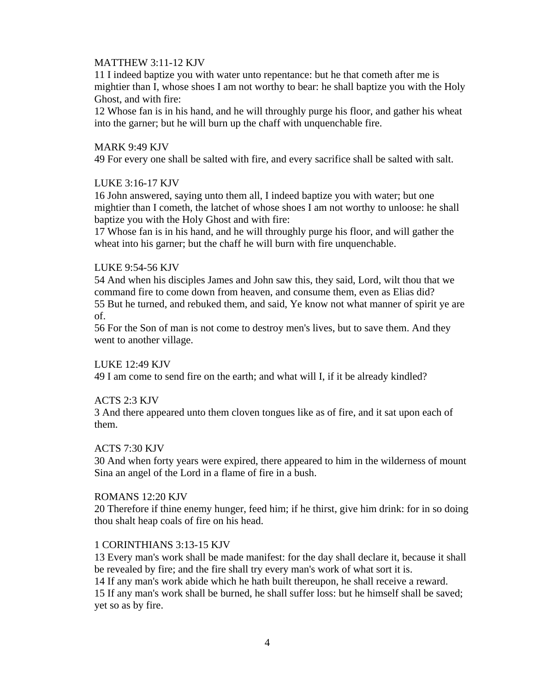# MATTHEW 3:11-12 KJV

11 I indeed baptize you with water unto repentance: but he that cometh after me is mightier than I, whose shoes I am not worthy to bear: he shall baptize you with the Holy Ghost, and with fire:

12 Whose fan is in his hand, and he will throughly purge his floor, and gather his wheat into the garner; but he will burn up the chaff with unquenchable fire.

# MARK 9:49 KJV

49 For every one shall be salted with fire, and every sacrifice shall be salted with salt.

# LUKE 3:16-17 KJV

16 John answered, saying unto them all, I indeed baptize you with water; but one mightier than I cometh, the latchet of whose shoes I am not worthy to unloose: he shall baptize you with the Holy Ghost and with fire:

17 Whose fan is in his hand, and he will throughly purge his floor, and will gather the wheat into his garner; but the chaff he will burn with fire unquenchable.

### LUKE 9:54-56 KJV

54 And when his disciples James and John saw this, they said, Lord, wilt thou that we command fire to come down from heaven, and consume them, even as Elias did? 55 But he turned, and rebuked them, and said, Ye know not what manner of spirit ye are of.

56 For the Son of man is not come to destroy men's lives, but to save them. And they went to another village.

#### LUKE 12:49 KJV

49 I am come to send fire on the earth; and what will I, if it be already kindled?

# ACTS 2:3 KJV

3 And there appeared unto them cloven tongues like as of fire, and it sat upon each of them.

#### ACTS 7:30 KJV

30 And when forty years were expired, there appeared to him in the wilderness of mount Sina an angel of the Lord in a flame of fire in a bush.

#### ROMANS 12:20 KJV

20 Therefore if thine enemy hunger, feed him; if he thirst, give him drink: for in so doing thou shalt heap coals of fire on his head.

#### 1 CORINTHIANS 3:13-15 KJV

13 Every man's work shall be made manifest: for the day shall declare it, because it shall be revealed by fire; and the fire shall try every man's work of what sort it is. 14 If any man's work abide which he hath built thereupon, he shall receive a reward. 15 If any man's work shall be burned, he shall suffer loss: but he himself shall be saved; yet so as by fire.